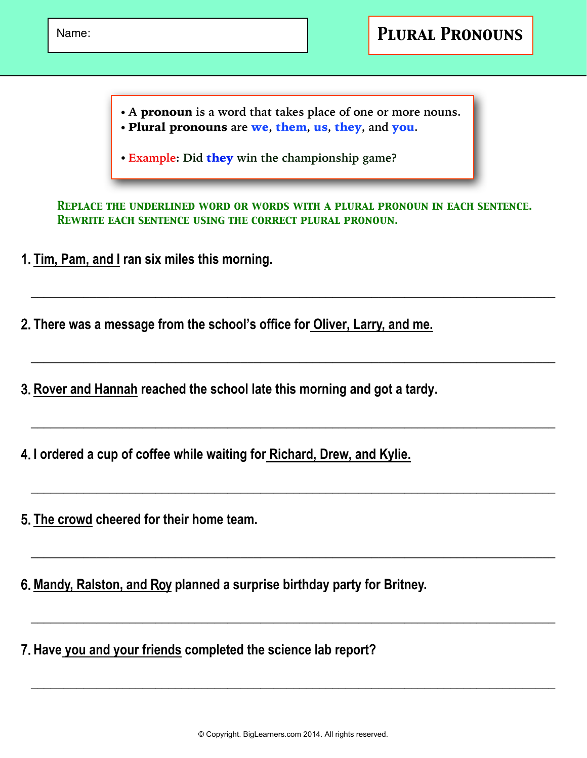- **• A** pronoun **is a word that takes place of one or more nouns.**
- **•** Plural pronouns **are** we**,** them**,** us**,** they**, and** you**.**
- **•Example: Did** they **win the championship game?**

*REPLACE THE UNDERLINED WORD OR WORDS WITH A PLURAL PRONOUN IN EACH SENTENCE. Rewrite each sentence using the correct plural pronoun.*

**\_\_\_\_\_\_\_\_\_\_\_\_\_\_\_\_\_\_\_\_\_\_\_\_\_\_\_\_\_\_\_\_\_\_\_\_\_\_\_\_\_\_\_\_\_\_\_\_\_\_\_\_\_\_\_\_\_\_\_\_\_\_\_\_\_\_\_\_\_\_\_\_\_\_\_\_\_\_\_\_**

**\_\_\_\_\_\_\_\_\_\_\_\_\_\_\_\_\_\_\_\_\_\_\_\_\_\_\_\_\_\_\_\_\_\_\_\_\_\_\_\_\_\_\_\_\_\_\_\_\_\_\_\_\_\_\_\_\_\_\_\_\_\_\_\_\_\_\_\_\_\_\_\_\_\_\_\_\_\_\_\_**

**\_\_\_\_\_\_\_\_\_\_\_\_\_\_\_\_\_\_\_\_\_\_\_\_\_\_\_\_\_\_\_\_\_\_\_\_\_\_\_\_\_\_\_\_\_\_\_\_\_\_\_\_\_\_\_\_\_\_\_\_\_\_\_\_\_\_\_\_\_\_\_\_\_\_\_\_\_\_\_\_**

**\_\_\_\_\_\_\_\_\_\_\_\_\_\_\_\_\_\_\_\_\_\_\_\_\_\_\_\_\_\_\_\_\_\_\_\_\_\_\_\_\_\_\_\_\_\_\_\_\_\_\_\_\_\_\_\_\_\_\_\_\_\_\_\_\_\_\_\_\_\_\_\_\_\_\_\_\_\_\_\_**

**\_\_\_\_\_\_\_\_\_\_\_\_\_\_\_\_\_\_\_\_\_\_\_\_\_\_\_\_\_\_\_\_\_\_\_\_\_\_\_\_\_\_\_\_\_\_\_\_\_\_\_\_\_\_\_\_\_\_\_\_\_\_\_\_\_\_\_\_\_\_\_\_\_\_\_\_\_\_\_\_**

**\_\_\_\_\_\_\_\_\_\_\_\_\_\_\_\_\_\_\_\_\_\_\_\_\_\_\_\_\_\_\_\_\_\_\_\_\_\_\_\_\_\_\_\_\_\_\_\_\_\_\_\_\_\_\_\_\_\_\_\_\_\_\_\_\_\_\_\_\_\_\_\_\_\_\_\_\_\_\_\_**

1. **Tim, Pam, and I ran six miles this morning.**

2. **There was a message from the school's office for Oliver, Larry, and me.**

3. Rover and Hannah reached the school late this morning and got a tardy.

4. **I ordered a cup of coffee while waiting for Richard, Drew, and Kylie.**

5. **The crowd cheered for their home team.**

6. **Mandy, Ralston, and** Roy **planned a surprise birthday party for Britney.**

7. **Have you and your friends completed the science lab report?**

**\_\_\_\_\_\_\_\_\_\_\_\_\_\_\_\_\_\_\_\_\_\_\_\_\_\_\_\_\_\_\_\_\_\_\_\_\_\_\_\_\_\_\_\_\_\_\_\_\_\_\_\_\_\_\_\_\_\_\_\_\_\_\_\_\_\_\_\_\_\_\_\_\_\_\_\_\_\_\_\_**